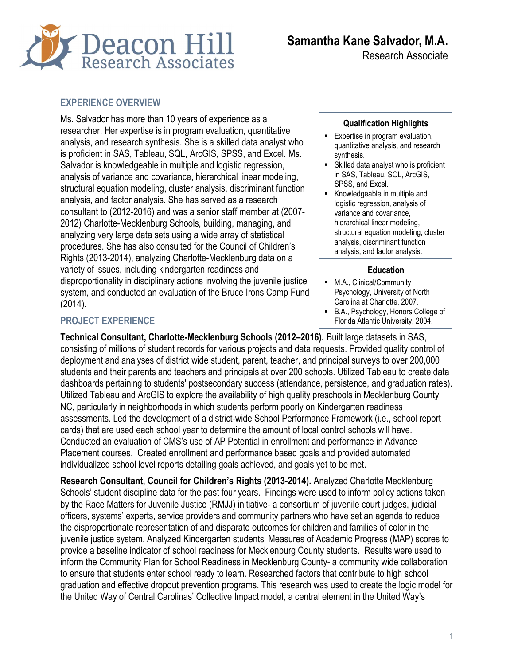

Research Associate

## EXPERIENCE OVERVIEW

Ms. Salvador has more than 10 years of experience as a researcher. Her expertise is in program evaluation, quantitative analysis, and research synthesis. She is a skilled data analyst who is proficient in SAS, Tableau, SQL, ArcGIS, SPSS, and Excel. Ms. Salvador is knowledgeable in multiple and logistic regression, analysis of variance and covariance, hierarchical linear modeling, structural equation modeling, cluster analysis, discriminant function analysis, and factor analysis. She has served as a research consultant to (2012-2016) and was a senior staff member at (2007- 2012) Charlotte-Mecklenburg Schools, building, managing, and analyzing very large data sets using a wide array of statistical procedures. She has also consulted for the Council of Children's Rights (2013-2014), analyzing Charlotte-Mecklenburg data on a variety of issues, including kindergarten readiness and disproportionality in disciplinary actions involving the juvenile justice system, and conducted an evaluation of the Bruce Irons Camp Fund (2014).

#### Qualification Highlights

- **Expertise in program evaluation.** quantitative analysis, and research synthesis.
- Skilled data analyst who is proficient in SAS, Tableau, SQL, ArcGIS, SPSS, and Excel.
- Knowledgeable in multiple and logistic regression, analysis of variance and covariance, hierarchical linear modeling, structural equation modeling, cluster analysis, discriminant function analysis, and factor analysis.

#### **Education**

- **M.A., Clinical/Community** Psychology, University of North Carolina at Charlotte, 2007.
- B.A., Psychology, Honors College of Florida Atlantic University, 2004.

## PROJECT EXPERIENCE

Technical Consultant, Charlotte-Mecklenburg Schools (2012–2016). Built large datasets in SAS, consisting of millions of student records for various projects and data requests. Provided quality control of deployment and analyses of district wide student, parent, teacher, and principal surveys to over 200,000 students and their parents and teachers and principals at over 200 schools. Utilized Tableau to create data dashboards pertaining to students' postsecondary success (attendance, persistence, and graduation rates). Utilized Tableau and ArcGIS to explore the availability of high quality preschools in Mecklenburg County NC, particularly in neighborhoods in which students perform poorly on Kindergarten readiness assessments. Led the development of a district-wide School Performance Framework (i.e., school report cards) that are used each school year to determine the amount of local control schools will have. Conducted an evaluation of CMS's use of AP Potential in enrollment and performance in Advance Placement courses. Created enrollment and performance based goals and provided automated individualized school level reports detailing goals achieved, and goals yet to be met.

Research Consultant, Council for Children's Rights (2013-2014). Analyzed Charlotte Mecklenburg Schools' student discipline data for the past four years. Findings were used to inform policy actions taken by the Race Matters for Juvenile Justice (RMJJ) initiative- a consortium of juvenile court judges, judicial officers, systems' experts, service providers and community partners who have set an agenda to reduce the disproportionate representation of and disparate outcomes for children and families of color in the juvenile justice system. Analyzed Kindergarten students' Measures of Academic Progress (MAP) scores to provide a baseline indicator of school readiness for Mecklenburg County students. Results were used to inform the Community Plan for School Readiness in Mecklenburg County- a community wide collaboration to ensure that students enter school ready to learn. Researched factors that contribute to high school graduation and effective dropout prevention programs. This research was used to create the logic model for the United Way of Central Carolinas' Collective Impact model, a central element in the United Way's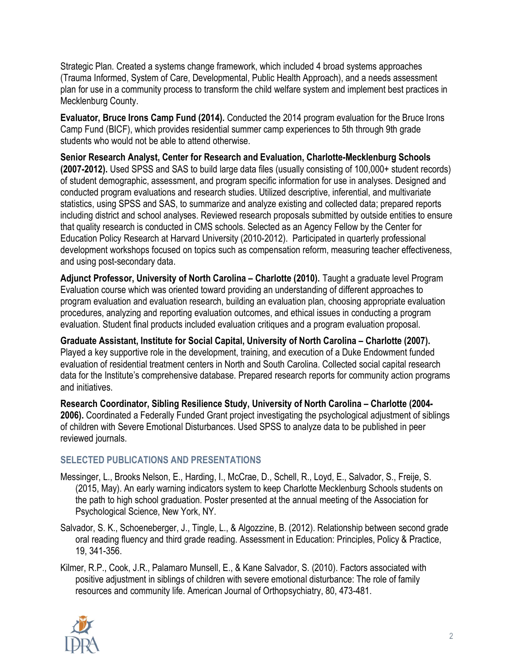Strategic Plan. Created a systems change framework, which included 4 broad systems approaches (Trauma Informed, System of Care, Developmental, Public Health Approach), and a needs assessment plan for use in a community process to transform the child welfare system and implement best practices in Mecklenburg County.

Evaluator, Bruce Irons Camp Fund (2014). Conducted the 2014 program evaluation for the Bruce Irons Camp Fund (BICF), which provides residential summer camp experiences to 5th through 9th grade students who would not be able to attend otherwise.

Senior Research Analyst, Center for Research and Evaluation, Charlotte-Mecklenburg Schools (2007-2012). Used SPSS and SAS to build large data files (usually consisting of 100,000+ student records) of student demographic, assessment, and program specific information for use in analyses. Designed and conducted program evaluations and research studies. Utilized descriptive, inferential, and multivariate statistics, using SPSS and SAS, to summarize and analyze existing and collected data; prepared reports including district and school analyses. Reviewed research proposals submitted by outside entities to ensure that quality research is conducted in CMS schools. Selected as an Agency Fellow by the Center for Education Policy Research at Harvard University (2010-2012). Participated in quarterly professional development workshops focused on topics such as compensation reform, measuring teacher effectiveness, and using post-secondary data.

Adjunct Professor, University of North Carolina – Charlotte (2010). Taught a graduate level Program Evaluation course which was oriented toward providing an understanding of different approaches to program evaluation and evaluation research, building an evaluation plan, choosing appropriate evaluation procedures, analyzing and reporting evaluation outcomes, and ethical issues in conducting a program evaluation. Student final products included evaluation critiques and a program evaluation proposal.

Graduate Assistant, Institute for Social Capital, University of North Carolina – Charlotte (2007). Played a key supportive role in the development, training, and execution of a Duke Endowment funded evaluation of residential treatment centers in North and South Carolina. Collected social capital research data for the Institute's comprehensive database. Prepared research reports for community action programs and initiatives.

Research Coordinator, Sibling Resilience Study, University of North Carolina – Charlotte (2004- 2006). Coordinated a Federally Funded Grant project investigating the psychological adjustment of siblings of children with Severe Emotional Disturbances. Used SPSS to analyze data to be published in peer reviewed journals.

# SELECTED PUBLICATIONS AND PRESENTATIONS

- Messinger, L., Brooks Nelson, E., Harding, I., McCrae, D., Schell, R., Loyd, E., Salvador, S., Freije, S. (2015, May). An early warning indicators system to keep Charlotte Mecklenburg Schools students on the path to high school graduation. Poster presented at the annual meeting of the Association for Psychological Science, New York, NY.
- Salvador, S. K., Schoeneberger, J., Tingle, L., & Algozzine, B. (2012). Relationship between second grade oral reading fluency and third grade reading. Assessment in Education: Principles, Policy & Practice, 19, 341-356.
- Kilmer, R.P., Cook, J.R., Palamaro Munsell, E., & Kane Salvador, S. (2010). Factors associated with positive adjustment in siblings of children with severe emotional disturbance: The role of family resources and community life. American Journal of Orthopsychiatry, 80, 473-481.